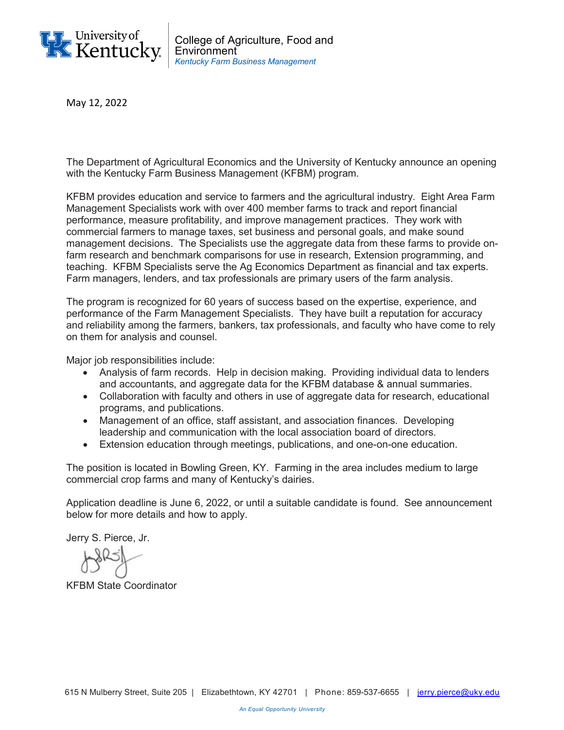

May 12, 2022

The Department of Agricultural Economics and the University of Kentucky announce an opening with the Kentucky Farm Business Management (KFBM) program.

KFBM provides education and service to farmers and the agricultural industry. Eight Area Farm Management Specialists work with over 400 member farms to track and report financial performance, measure profitability, and improve management practices. They work with commercial farmers to manage taxes, set business and personal goals, and make sound management decisions. The Specialists use the aggregate data from these farms to provide onfarm research and benchmark comparisons for use in research, Extension programming, and teaching. KFBM Specialists serve the Ag Economics Department as financial and tax experts. Farm managers, lenders, and tax professionals are primary users of the farm analysis.

The program is recognized for 60 years of success based on the expertise, experience, and performance of the Farm Management Specialists. They have built a reputation for accuracy and reliability among the farmers, bankers, tax professionals, and faculty who have come to rely on them for analysis and counsel.

Major job responsibilities include:

- Analysis of farm records. Help in decision making. Providing individual data to lenders and accountants, and aggregate data for the KFBM database & annual summaries.
- Collaboration with faculty and others in use of aggregate data for research, educational programs, and publications.
- Management of an office, staff assistant, and association finances. Developing leadership and communication with the local association board of directors.
- Extension education through meetings, publications, and one-on-one education.

The position is located in Bowling Green, KY. Farming in the area includes medium to large commercial crop farms and many of Kentucky's dairies.

Application deadline is June 6, 2022, or until a suitable candidate is found. See announcement below for more details and how to apply.

Jerry S. Pierce, Jr.

KFBM State Coordinator